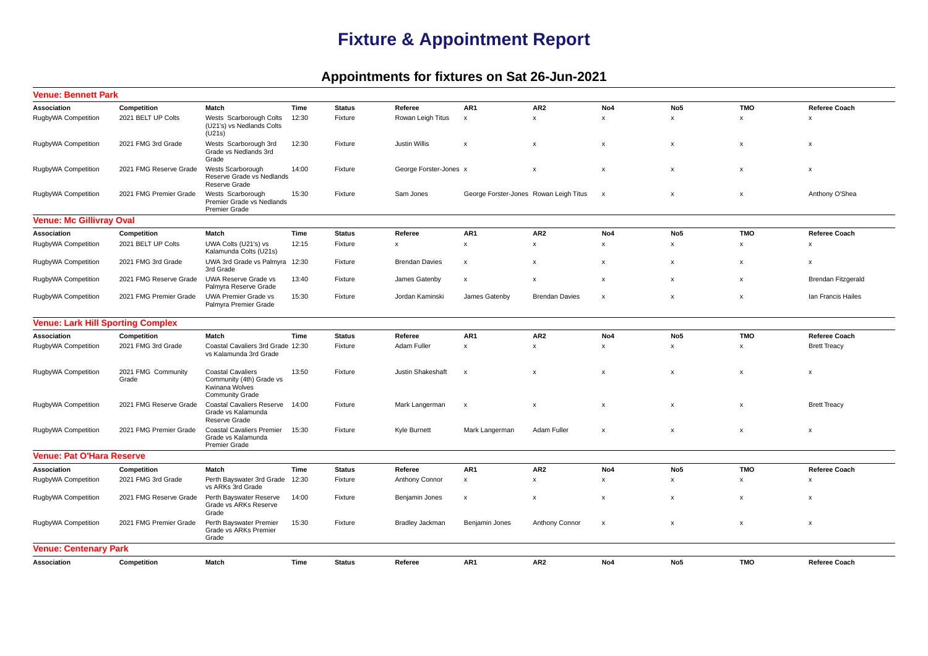## **Fixture & Appointment Report**

## **Appointments for fixtures on Sat 26-Jun-2021**

| <b>Venue: Bennett Park</b>               |                             |                                                                                                  |       |               |                           |                                        |                           |                           |                           |                           |                           |
|------------------------------------------|-----------------------------|--------------------------------------------------------------------------------------------------|-------|---------------|---------------------------|----------------------------------------|---------------------------|---------------------------|---------------------------|---------------------------|---------------------------|
| Association                              | Competition                 | Match                                                                                            | Time  | <b>Status</b> | Referee                   | AR1                                    | AR <sub>2</sub>           | No4                       | No <sub>5</sub>           | <b>TMO</b>                | <b>Referee Coach</b>      |
| RugbyWA Competition                      | 2021 BELT UP Colts          | Wests Scarborough Colts<br>(U21's) vs Nedlands Colts<br>(U21s)                                   | 12:30 | Fixture       | Rowan Leigh Titus         | $\boldsymbol{\mathsf{x}}$              | $\boldsymbol{\mathsf{x}}$ | $\mathbf{x}$              | $\mathsf{x}$              | $\mathsf{x}$              | $\boldsymbol{\mathsf{x}}$ |
| RugbyWA Competition                      | 2021 FMG 3rd Grade          | Wests Scarborough 3rd<br>Grade vs Nedlands 3rd<br>Grade                                          | 12:30 | Fixture       | <b>Justin Willis</b>      | $\pmb{\mathsf{x}}$                     | $\pmb{\mathsf{x}}$        | $\boldsymbol{\mathsf{x}}$ | x                         | x                         | $\pmb{\mathsf{x}}$        |
| RugbyWA Competition                      | 2021 FMG Reserve Grade      | Wests Scarborough<br>Reserve Grade vs Nedlands<br>Reserve Grade                                  | 14:00 | Fixture       | George Forster-Jones x    |                                        | $\boldsymbol{\mathsf{x}}$ | $\boldsymbol{\mathsf{x}}$ | $\boldsymbol{\mathsf{x}}$ | x                         | $\boldsymbol{\mathsf{x}}$ |
| RugbyWA Competition                      | 2021 FMG Premier Grade      | Wests Scarborough<br>Premier Grade vs Nedlands<br><b>Premier Grade</b>                           | 15:30 | Fixture       | Sam Jones                 | George Forster-Jones Rowan Leigh Titus |                           | x                         | x                         | $\pmb{\times}$            | Anthony O'Shea            |
| <b>Venue: Mc Gillivray Oval</b>          |                             |                                                                                                  |       |               |                           |                                        |                           |                           |                           |                           |                           |
| Association                              | Competition                 | Match                                                                                            | Time  | <b>Status</b> | Referee                   | AR1                                    | AR <sub>2</sub>           | No4                       | No5                       | <b>TMO</b>                | <b>Referee Coach</b>      |
| RugbyWA Competition                      | 2021 BELT UP Colts          | UWA Colts (U21's) vs<br>Kalamunda Colts (U21s)                                                   | 12:15 | Fixture       | $\boldsymbol{\mathsf{x}}$ | $\pmb{\mathsf{x}}$                     | $\pmb{\mathsf{x}}$        | $\pmb{\times}$            | x                         | x                         | X                         |
| RugbyWA Competition                      | 2021 FMG 3rd Grade          | UWA 3rd Grade vs Palmyra 12:30<br>3rd Grade                                                      |       | Fixture       | <b>Brendan Davies</b>     | $\pmb{\chi}$                           | $\boldsymbol{\mathsf{x}}$ | $\boldsymbol{\mathsf{x}}$ | x                         | x                         | x                         |
| RugbyWA Competition                      | 2021 FMG Reserve Grade      | UWA Reserve Grade vs<br>Palmyra Reserve Grade                                                    | 13:40 | Fixture       | James Gatenby             | X                                      | X                         | $\boldsymbol{\mathsf{x}}$ | x                         | x                         | <b>Brendan Fitzgerald</b> |
| RugbyWA Competition                      | 2021 FMG Premier Grade      | <b>UWA Premier Grade vs</b><br>Palmyra Premier Grade                                             | 15:30 | Fixture       | Jordan Kaminski           | James Gatenby                          | <b>Brendan Davies</b>     | X                         | x                         | $\pmb{\times}$            | Ian Francis Hailes        |
| <b>Venue: Lark Hill Sporting Complex</b> |                             |                                                                                                  |       |               |                           |                                        |                           |                           |                           |                           |                           |
| Association                              | Competition                 | Match                                                                                            | Time  | <b>Status</b> | Referee                   | AR1                                    | AR <sub>2</sub>           | No4                       | No5                       | <b>TMO</b>                | <b>Referee Coach</b>      |
| RugbyWA Competition                      | 2021 FMG 3rd Grade          | Coastal Cavaliers 3rd Grade 12:30<br>vs Kalamunda 3rd Grade                                      |       | Fixture       | Adam Fuller               | $\pmb{\chi}$                           | $\boldsymbol{\mathsf{x}}$ | $\boldsymbol{\mathsf{x}}$ | x                         | x                         | <b>Brett Treacy</b>       |
| RugbyWA Competition                      | 2021 FMG Community<br>Grade | <b>Coastal Cavaliers</b><br>Community (4th) Grade vs<br>Kwinana Wolves<br><b>Community Grade</b> | 13:50 | Fixture       | <b>Justin Shakeshaft</b>  | $\boldsymbol{\mathsf{x}}$              | $\boldsymbol{\mathsf{x}}$ | $\boldsymbol{\mathsf{x}}$ | x                         | x                         | $\boldsymbol{\mathsf{x}}$ |
| RugbyWA Competition                      | 2021 FMG Reserve Grade      | <b>Coastal Cavaliers Reserve</b><br>Grade vs Kalamunda<br>Reserve Grade                          | 14:00 | Fixture       | Mark Langerman            | $\boldsymbol{\mathsf{x}}$              | $\boldsymbol{\mathsf{x}}$ | $\boldsymbol{\mathsf{x}}$ | x                         | x                         | <b>Brett Treacy</b>       |
| RugbyWA Competition                      | 2021 FMG Premier Grade      | <b>Coastal Cavaliers Premier</b><br>Grade vs Kalamunda<br><b>Premier Grade</b>                   | 15:30 | Fixture       | Kyle Burnett              | Mark Langerman                         | Adam Fuller               | $\boldsymbol{\mathsf{x}}$ | $\boldsymbol{\mathsf{x}}$ | x                         | x                         |
| <b>Venue: Pat O'Hara Reserve</b>         |                             |                                                                                                  |       |               |                           |                                        |                           |                           |                           |                           |                           |
| Association                              | Competition                 | Match                                                                                            | Time  | <b>Status</b> | Referee                   | AR1                                    | AR <sub>2</sub>           | No4                       | No <sub>5</sub>           | <b>TMO</b>                | <b>Referee Coach</b>      |
| RugbyWA Competition                      | 2021 FMG 3rd Grade          | Perth Bayswater 3rd Grade<br>vs ARKs 3rd Grade                                                   | 12:30 | Fixture       | Anthony Connor            | $\pmb{\mathsf{x}}$                     | $\pmb{\mathsf{x}}$        | $\pmb{\times}$            | $\pmb{\mathsf{x}}$        | X                         | $\boldsymbol{\mathsf{x}}$ |
| RugbyWA Competition                      | 2021 FMG Reserve Grade      | Perth Bayswater Reserve<br>Grade vs ARKs Reserve<br>Grade                                        | 14:00 | Fixture       | Benjamin Jones            | $\boldsymbol{\mathsf{x}}$              | $\boldsymbol{\mathsf{x}}$ | $\boldsymbol{\mathsf{x}}$ | x                         | $\boldsymbol{\mathsf{x}}$ | X                         |
| RugbyWA Competition                      | 2021 FMG Premier Grade      | Perth Bayswater Premier<br>Grade vs ARKs Premier<br>Grade                                        | 15:30 | Fixture       | <b>Bradley Jackman</b>    | Benjamin Jones                         | Anthony Connor            | $\boldsymbol{\mathsf{x}}$ | x                         | x                         | x                         |
| <b>Venue: Centenary Park</b>             |                             |                                                                                                  |       |               |                           |                                        |                           |                           |                           |                           |                           |
| Association                              | Competition                 | Match                                                                                            | Time  | <b>Status</b> | Referee                   | AR1                                    | AR <sub>2</sub>           | No4                       | No <sub>5</sub>           | <b>TMO</b>                | <b>Referee Coach</b>      |